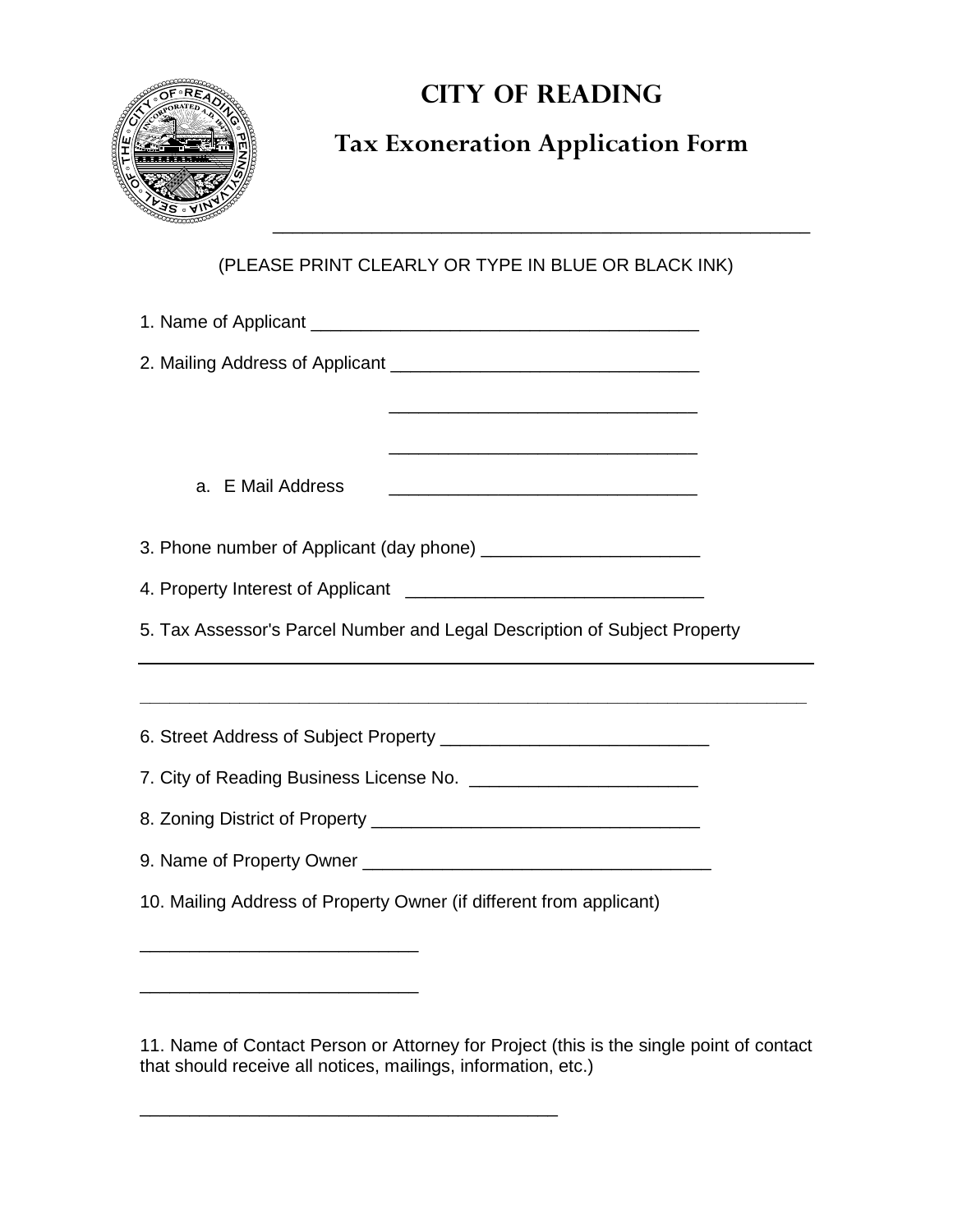

## **CITY OF READING**

## **Tax Exoneration Application Form**

\_\_\_\_\_\_\_\_\_\_\_\_\_\_\_\_\_\_\_\_\_\_\_\_\_\_\_\_\_\_\_\_\_\_\_\_\_\_\_\_\_\_\_\_\_\_\_\_\_\_\_\_\_\_

## (PLEASE PRINT CLEARLY OR TYPE IN BLUE OR BLACK INK)

| <u> 1989 - Johann Barn, mars eta bat erroman erroman erroman erroman erroman erroman erroman erroman erroman err</u> |  |
|----------------------------------------------------------------------------------------------------------------------|--|
|                                                                                                                      |  |
| a. E Mail Address                                                                                                    |  |
|                                                                                                                      |  |
|                                                                                                                      |  |
|                                                                                                                      |  |
| 5. Tax Assessor's Parcel Number and Legal Description of Subject Property                                            |  |
|                                                                                                                      |  |
|                                                                                                                      |  |
|                                                                                                                      |  |
|                                                                                                                      |  |
|                                                                                                                      |  |
|                                                                                                                      |  |
| 10. Mailing Address of Property Owner (if different from applicant)                                                  |  |
|                                                                                                                      |  |

11. Name of Contact Person or Attorney for Project (this is the single point of contact that should receive all notices, mailings, information, etc.)

\_\_\_\_\_\_\_\_\_\_\_\_\_\_\_\_\_\_\_\_\_\_\_\_\_\_\_\_\_\_\_\_\_\_\_\_\_\_\_\_\_\_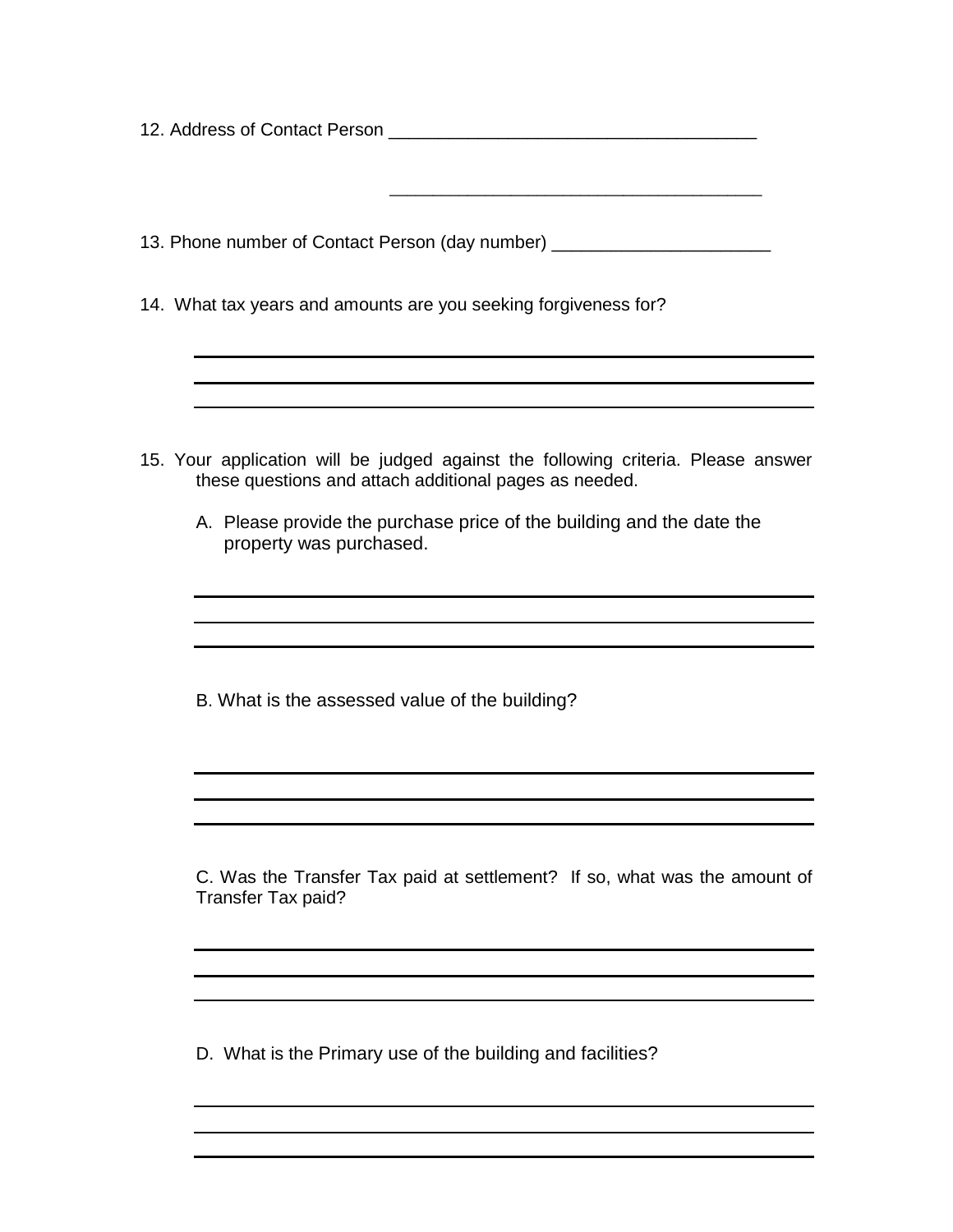| 13. Phone number of Contact Person (day number) ________________________________                                                            |
|---------------------------------------------------------------------------------------------------------------------------------------------|
| 14. What tax years and amounts are you seeking forgiveness for?                                                                             |
|                                                                                                                                             |
|                                                                                                                                             |
| 15. Your application will be judged against the following criteria. Please answer<br>these questions and attach additional pages as needed. |
| A. Please provide the purchase price of the building and the date the<br>property was purchased.                                            |
|                                                                                                                                             |
|                                                                                                                                             |
| B. What is the assessed value of the building?                                                                                              |
|                                                                                                                                             |
|                                                                                                                                             |
| C. Was the Transfer Tax paid at settlement? If so, what was the amount of<br>Transfer Tax paid?                                             |
|                                                                                                                                             |
|                                                                                                                                             |

D. What is the Primary use of the building and facilities?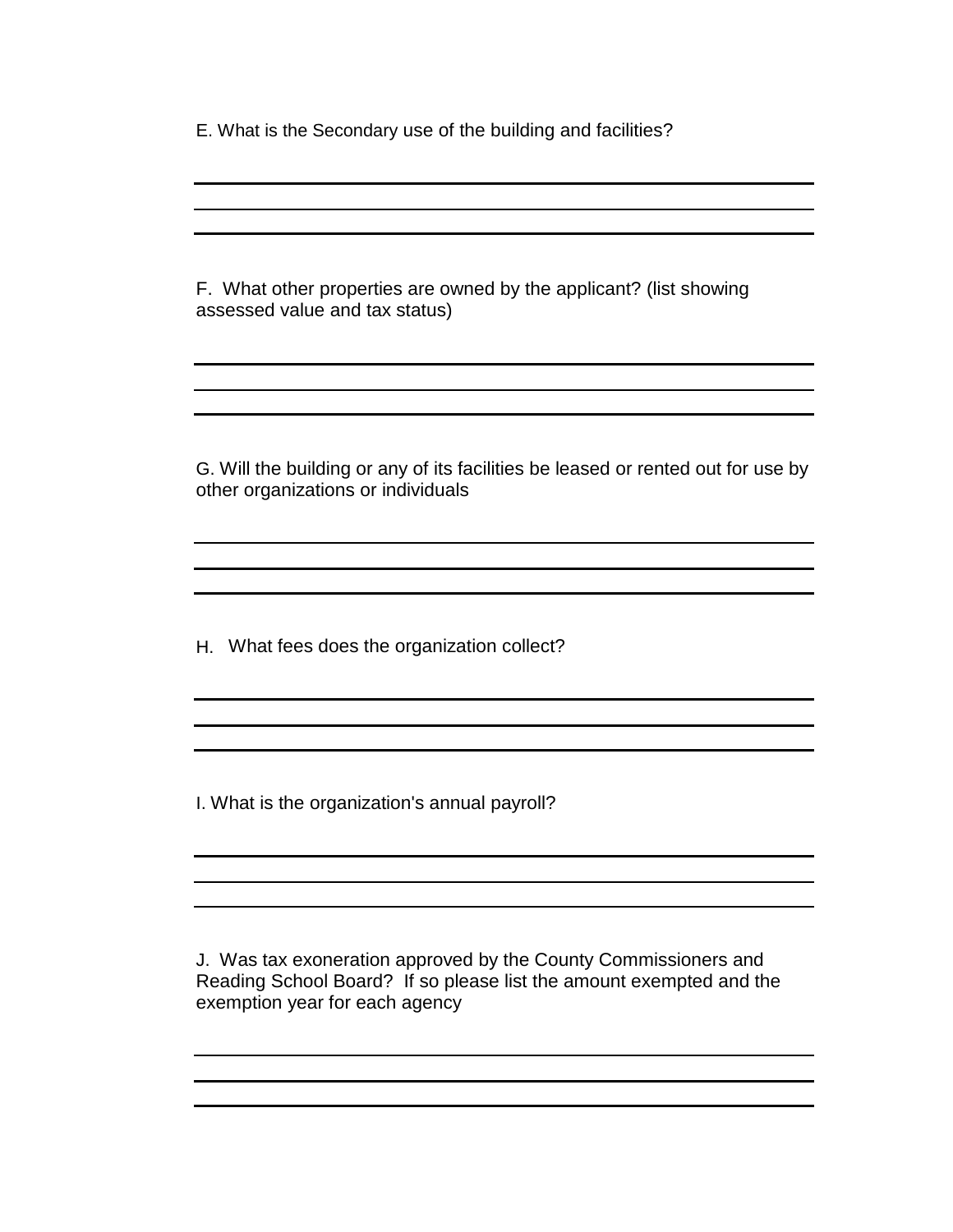E. What is the Secondary use of the building and facilities?

F. What other properties are owned by the applicant? (list showing assessed value and tax status)

G. Will the building or any of its facilities be leased or rented out for use by other organizations or individuals

H. What fees does the organization collect?

I. What is the organization's annual payroll?

J. Was tax exoneration approved by the County Commissioners and Reading School Board? If so please list the amount exempted and the exemption year for each agency